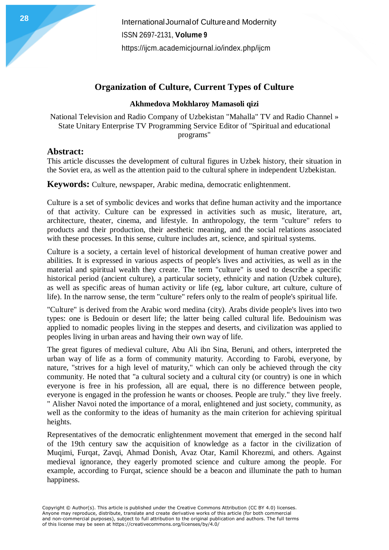## **Organization of Culture, Current Types of Culture**

## **Akhmedova Mokhlaroy Mamasoli qizi**

National Television and Radio Company of Uzbekistan "Mahalla" TV and Radio Channel » State Unitary Enterprise TV Programming Service Editor of "Spiritual and educational programs"

## **Abstract:**

This article discusses the development of cultural figures in Uzbek history, their situation in the Soviet era, as well as the attention paid to the cultural sphere in independent Uzbekistan.

**Keywords:** Culture, newspaper, Arabic medina, democratic enlightenment.

Culture is a set of symbolic devices and works that define human activity and the importance of that activity. Culture can be expressed in activities such as music, literature, art, architecture, theater, cinema, and lifestyle. In anthropology, the term "culture" refers to products and their production, their aesthetic meaning, and the social relations associated with these processes. In this sense, culture includes art, science, and spiritual systems.

Culture is a society, a certain level of historical development of human creative power and abilities. It is expressed in various aspects of people's lives and activities, as well as in the material and spiritual wealth they create. The term "culture" is used to describe a specific historical period (ancient culture), a particular society, ethnicity and nation (Uzbek culture), as well as specific areas of human activity or life (eg, labor culture, art culture, culture of life). In the narrow sense, the term "culture" refers only to the realm of people's spiritual life.

"Culture" is derived from the Arabic word medina (city). Arabs divide people's lives into two types: one is Bedouin or desert life; the latter being called cultural life. Bedouinism was applied to nomadic peoples living in the steppes and deserts, and civilization was applied to peoples living in urban areas and having their own way of life.

The great figures of medieval culture, Abu Ali ibn Sina, Beruni, and others, interpreted the urban way of life as a form of community maturity. According to Farobi, everyone, by nature, "strives for a high level of maturity," which can only be achieved through the city community. He noted that "a cultural society and a cultural city (or country) is one in which everyone is free in his profession, all are equal, there is no difference between people, everyone is engaged in the profession he wants or chooses. People are truly." they live freely. " Alisher Navoi noted the importance of a moral, enlightened and just society, community, as well as the conformity to the ideas of humanity as the main criterion for achieving spiritual heights.

Representatives of the democratic enlightenment movement that emerged in the second half of the 19th century saw the acquisition of knowledge as a factor in the civilization of Muqimi, Furqat, Zavqi, Ahmad Donish, Avaz Otar, Kamil Khorezmi, and others. Against medieval ignorance, they eagerly promoted science and culture among the people. For example, according to Furqat, science should be a beacon and illuminate the path to human happiness.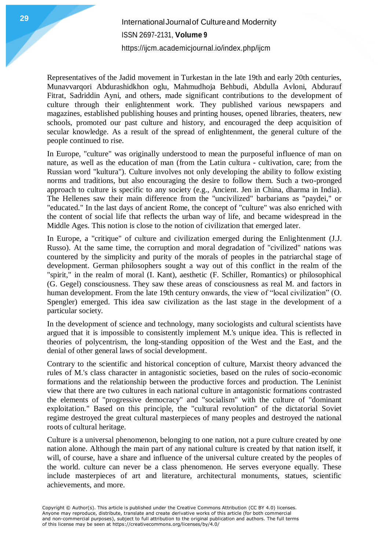Representatives of the Jadid movement in Turkestan in the late 19th and early 20th centuries, Munavvarqori Abdurashidkhon oglu, Mahmudhoja Behbudi, Abdulla Avloni, Abdurauf Fitrat, Sadriddin Ayni, and others, made significant contributions to the development of culture through their enlightenment work. They published various newspapers and magazines, established publishing houses and printing houses, opened libraries, theaters, new schools, promoted our past culture and history, and encouraged the deep acquisition of secular knowledge. As a result of the spread of enlightenment, the general culture of the people continued to rise.

In Europe, "culture" was originally understood to mean the purposeful influence of man on nature, as well as the education of man (from the Latin cultura - cultivation, care; from the Russian word "kultura"). Culture involves not only developing the ability to follow existing norms and traditions, but also encouraging the desire to follow them. Such a two-pronged approach to culture is specific to any society (e.g., Ancient. Jen in China, dharma in India). The Hellenes saw their main difference from the "uncivilized" barbarians as "paydei," or "educated." In the last days of ancient Rome, the concept of "culture" was also enriched with the content of social life that reflects the urban way of life, and became widespread in the Middle Ages. This notion is close to the notion of civilization that emerged later.

In Europe, a "critique" of culture and civilization emerged during the Enlightenment (J.J. Russo). At the same time, the corruption and moral degradation of "civilized" nations was countered by the simplicity and purity of the morals of peoples in the patriarchal stage of development. German philosophers sought a way out of this conflict in the realm of the "spirit," in the realm of moral (I. Kant), aesthetic (F. Schiller, Romantics) or philosophical (G. Gegel) consciousness. They saw these areas of consciousness as real M. and factors in human development. From the late 19th century onwards, the view of "local civilization" (O. Spengler) emerged. This idea saw civilization as the last stage in the development of a particular society.

In the development of science and technology, many sociologists and cultural scientists have argued that it is impossible to consistently implement M.'s unique idea. This is reflected in theories of polycentrism, the long-standing opposition of the West and the East, and the denial of other general laws of social development.

Contrary to the scientific and historical conception of culture, Marxist theory advanced the rules of M.'s class character in antagonistic societies, based on the rules of socio-economic formations and the relationship between the productive forces and production. The Leninist view that there are two cultures in each national culture in antagonistic formations contrasted the elements of "progressive democracy" and "socialism" with the culture of "dominant exploitation." Based on this principle, the "cultural revolution" of the dictatorial Soviet regime destroyed the great cultural masterpieces of many peoples and destroyed the national roots of cultural heritage.

Culture is a universal phenomenon, belonging to one nation, not a pure culture created by one nation alone. Although the main part of any national culture is created by that nation itself, it will, of course, have a share and influence of the universal culture created by the peoples of the world. culture can never be a class phenomenon. He serves everyone equally. These include masterpieces of art and literature, architectural monuments, statues, scientific achievements, and more.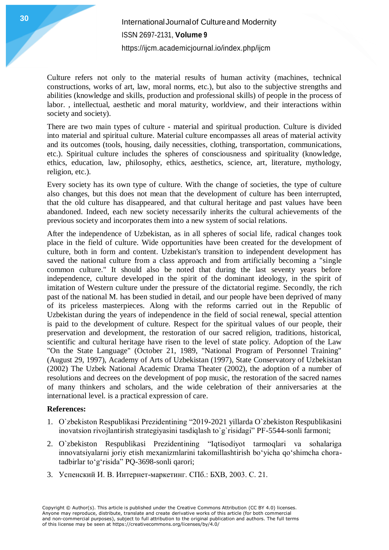Culture refers not only to the material results of human activity (machines, technical constructions, works of art, law, moral norms, etc.), but also to the subjective strengths and abilities (knowledge and skills, production and professional skills) of people in the process of labor. , intellectual, aesthetic and moral maturity, worldview, and their interactions within society and society).

There are two main types of culture - material and spiritual production. Culture is divided into material and spiritual culture. Material culture encompasses all areas of material activity and its outcomes (tools, housing, daily necessities, clothing, transportation, communications, etc.). Spiritual culture includes the spheres of consciousness and spirituality (knowledge, ethics, education, law, philosophy, ethics, aesthetics, science, art, literature, mythology, religion, etc.).

Every society has its own type of culture. With the change of societies, the type of culture also changes, but this does not mean that the development of culture has been interrupted, that the old culture has disappeared, and that cultural heritage and past values have been abandoned. Indeed, each new society necessarily inherits the cultural achievements of the previous society and incorporates them into a new system of social relations.

After the independence of Uzbekistan, as in all spheres of social life, radical changes took place in the field of culture. Wide opportunities have been created for the development of culture, both in form and content. Uzbekistan's transition to independent development has saved the national culture from a class approach and from artificially becoming a "single common culture." It should also be noted that during the last seventy years before independence, culture developed in the spirit of the dominant ideology, in the spirit of imitation of Western culture under the pressure of the dictatorial regime. Secondly, the rich past of the national M. has been studied in detail, and our people have been deprived of many of its priceless masterpieces. Along with the reforms carried out in the Republic of Uzbekistan during the years of independence in the field of social renewal, special attention is paid to the development of culture. Respect for the spiritual values of our people, their preservation and development, the restoration of our sacred religion, traditions, historical, scientific and cultural heritage have risen to the level of state policy. Adoption of the Law "On the State Language" (October 21, 1989, "National Program of Personnel Training" (August 29, 1997), Academy of Arts of Uzbekistan (1997), State Conservatory of Uzbekistan (2002) The Uzbek National Academic Drama Theater (2002), the adoption of a number of resolutions and decrees on the development of pop music, the restoration of the sacred names of many thinkers and scholars, and the wide celebration of their anniversaries at the international level. is a practical expression of care.

## **References:**

- 1. O`zbekiston Respublikasi Prezidentining "2019-2021 yillarda O`zbekiston Respublikasini inovatsion rivojlantirish strategiyasini tasdiqlash to`g`risidagi" PF-5544-sonli farmoni;
- 2. O`zbekiston Respublikasi Prezidentining "Iqtisodiyot tarmoqlari va sohalariga innovatsiyalarni joriy etish mexanizmlarini takomillashtirish bo'yicha qo'shimcha choratadbirlar to'g'risida" PQ-3698-sonli qarori;
- 3. Успенский И. В. Интернет-маркетинг. СПб.: БХВ, 2003. С. 21.